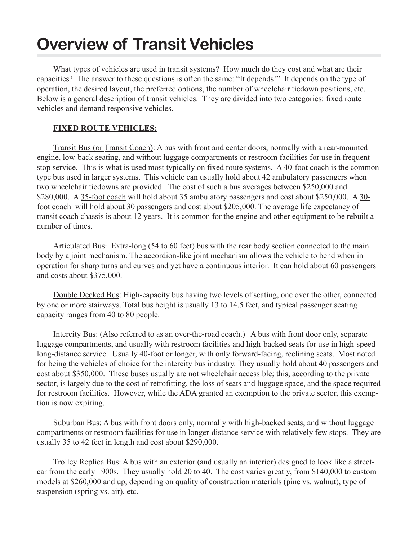## **Overview of Transit Vehicles**

What types of vehicles are used in transit systems? How much do they cost and what are their capacities? The answer to these questions is often the same: "It depends!" It depends on the type of operation, the desired layout, the preferred options, the number of wheelchair tiedown positions, etc. Below is a general description of transit vehicles. They are divided into two categories: fixed route vehicles and demand responsive vehicles.

## **FIXED ROUTE VEHICLES:**

Transit Bus (or Transit Coach): A bus with front and center doors, normally with a rear-mounted engine, low-back seating, and without luggage compartments or restroom facilities for use in frequentstop service. This is what is used most typically on fixed route systems. A 40-foot coach is the common type bus used in larger systems. This vehicle can usually hold about 42 ambulatory passengers when two wheelchair tiedowns are provided. The cost of such a bus averages between \$250,000 and \$280,000. A 35-foot coach will hold about 35 ambulatory passengers and cost about \$250,000. A 30foot coach will hold about 30 passengers and cost about \$205,000. The average life expectancy of transit coach chassis is about 12 years. It is common for the engine and other equipment to be rebuilt a number of times.

Articulated Bus: Extra-long (54 to 60 feet) bus with the rear body section connected to the main body by a joint mechanism. The accordion-like joint mechanism allows the vehicle to bend when in operation for sharp turns and curves and yet have a continuous interior. It can hold about 60 passengers and costs about \$375,000.

Double Decked Bus: High-capacity bus having two levels of seating, one over the other, connected by one or more stairways. Total bus height is usually 13 to 14.5 feet, and typical passenger seating capacity ranges from 40 to 80 people.

Intercity Bus: (Also referred to as an over-the-road coach.) A bus with front door only, separate luggage compartments, and usually with restroom facilities and high-backed seats for use in high-speed long-distance service. Usually 40-foot or longer, with only forward-facing, reclining seats. Most noted for being the vehicles of choice for the intercity bus industry. They usually hold about 40 passengers and cost about \$350,000. These buses usually are not wheelchair accessible; this, according to the private sector, is largely due to the cost of retrofitting, the loss of seats and luggage space, and the space required for restroom facilities. However, while the ADA granted an exemption to the private sector, this exemption is now expiring.

Suburban Bus: A bus with front doors only, normally with high-backed seats, and without luggage compartments or restroom facilities for use in longer-distance service with relatively few stops. They are usually 35 to 42 feet in length and cost about \$290,000.

Trolley Replica Bus: A bus with an exterior (and usually an interior) designed to look like a streetcar from the early 1900s. They usually hold 20 to 40. The cost varies greatly, from \$140,000 to custom models at \$260,000 and up, depending on quality of construction materials (pine vs. walnut), type of suspension (spring vs. air), etc.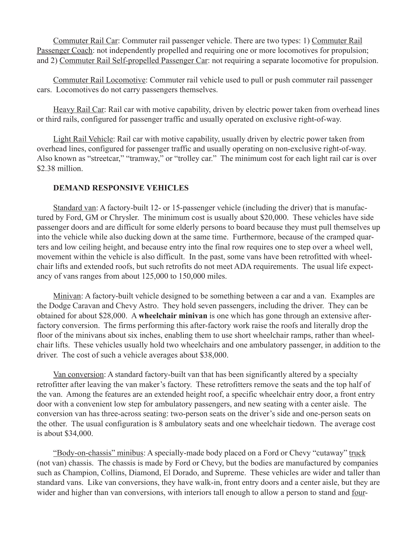Commuter Rail Car: Commuter rail passenger vehicle. There are two types: 1) Commuter Rail Passenger Coach: not independently propelled and requiring one or more locomotives for propulsion; and 2) Commuter Rail Self-propelled Passenger Car: not requiring a separate locomotive for propulsion.

Commuter Rail Locomotive: Commuter rail vehicle used to pull or push commuter rail passenger cars. Locomotives do not carry passengers themselves.

Heavy Rail Car: Rail car with motive capability, driven by electric power taken from overhead lines or third rails, configured for passenger traffic and usually operated on exclusive right-of-way.

Light Rail Vehicle: Rail car with motive capability, usually driven by electric power taken from overhead lines, configured for passenger traffic and usually operating on non-exclusive right-of-way. Also known as "streetcar," "tramway," or "trolley car." The minimum cost for each light rail car is over \$2.38 million.

## **DEMAND RESPONSIVE VEHICLES**

Standard van: A factory-built 12- or 15-passenger vehicle (including the driver) that is manufactured by Ford, GM or Chrysler. The minimum cost is usually about \$20,000. These vehicles have side passenger doors and are difficult for some elderly persons to board because they must pull themselves up into the vehicle while also ducking down at the same time. Furthermore, because of the cramped quarters and low ceiling height, and because entry into the final row requires one to step over a wheel well, movement within the vehicle is also difficult. In the past, some vans have been retrofitted with wheelchair lifts and extended roofs, but such retrofits do not meet ADA requirements. The usual life expectancy of vans ranges from about 125,000 to 150,000 miles.

Minivan: A factory-built vehicle designed to be something between a car and a van. Examples are the Dodge Caravan and Chevy Astro. They hold seven passengers, including the driver. They can be obtained for about \$28,000. A **wheelchair minivan** is one which has gone through an extensive afterfactory conversion. The firms performing this after-factory work raise the roofs and literally drop the floor of the minivans about six inches, enabling them to use short wheelchair ramps, rather than wheelchair lifts. These vehicles usually hold two wheelchairs and one ambulatory passenger, in addition to the driver. The cost of such a vehicle averages about \$38,000.

Van conversion: A standard factory-built van that has been significantly altered by a specialty retrofitter after leaving the van maker's factory. These retrofitters remove the seats and the top half of the van. Among the features are an extended height roof, a specific wheelchair entry door, a front entry door with a convenient low step for ambulatory passengers, and new seating with a center aisle. The conversion van has three-across seating: two-person seats on the driver's side and one-person seats on the other. The usual configuration is 8 ambulatory seats and one wheelchair tiedown. The average cost is about \$34,000.

"Body-on-chassis" minibus: A specially-made body placed on a Ford or Chevy "cutaway" truck (not van) chassis. The chassis is made by Ford or Chevy, but the bodies are manufactured by companies such as Champion, Collins, Diamond, El Dorado, and Supreme. These vehicles are wider and taller than standard vans. Like van conversions, they have walk-in, front entry doors and a center aisle, but they are wider and higher than van conversions, with interiors tall enough to allow a person to stand and four-